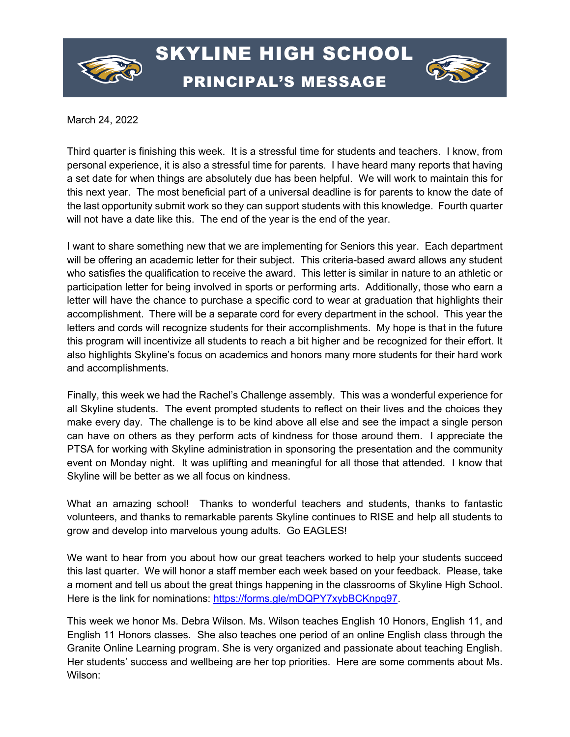

## SKYLINE HIGH SCHOOL PRINCIPAL'S MESSAGE



March 24, 2022

Third quarter is finishing this week. It is a stressful time for students and teachers. I know, from personal experience, it is also a stressful time for parents. I have heard many reports that having a set date for when things are absolutely due has been helpful. We will work to maintain this for this next year. The most beneficial part of a universal deadline is for parents to know the date of the last opportunity submit work so they can support students with this knowledge. Fourth quarter will not have a date like this. The end of the year is the end of the year.

I want to share something new that we are implementing for Seniors this year. Each department will be offering an academic letter for their subject. This criteria-based award allows any student who satisfies the qualification to receive the award. This letter is similar in nature to an athletic or participation letter for being involved in sports or performing arts. Additionally, those who earn a letter will have the chance to purchase a specific cord to wear at graduation that highlights their accomplishment. There will be a separate cord for every department in the school. This year the letters and cords will recognize students for their accomplishments. My hope is that in the future this program will incentivize all students to reach a bit higher and be recognized for their effort. It also highlights Skyline's focus on academics and honors many more students for their hard work and accomplishments.

Finally, this week we had the Rachel's Challenge assembly. This was a wonderful experience for all Skyline students. The event prompted students to reflect on their lives and the choices they make every day. The challenge is to be kind above all else and see the impact a single person can have on others as they perform acts of kindness for those around them. I appreciate the PTSA for working with Skyline administration in sponsoring the presentation and the community event on Monday night. It was uplifting and meaningful for all those that attended. I know that Skyline will be better as we all focus on kindness.

What an amazing school! Thanks to wonderful teachers and students, thanks to fantastic volunteers, and thanks to remarkable parents Skyline continues to RISE and help all students to grow and develop into marvelous young adults. Go EAGLES!

We want to hear from you about how our great teachers worked to help your students succeed this last quarter. We will honor a staff member each week based on your feedback. Please, take a moment and tell us about the great things happening in the classrooms of Skyline High School. Here is the link for nominations: [https://forms.gle/mDQPY7xybBCKnpq97.](https://forms.gle/mDQPY7xybBCKnpq97)

This week we honor Ms. Debra Wilson. Ms. Wilson teaches English 10 Honors, English 11, and English 11 Honors classes. She also teaches one period of an online English class through the Granite Online Learning program. She is very organized and passionate about teaching English. Her students' success and wellbeing are her top priorities. Here are some comments about Ms. Wilson: